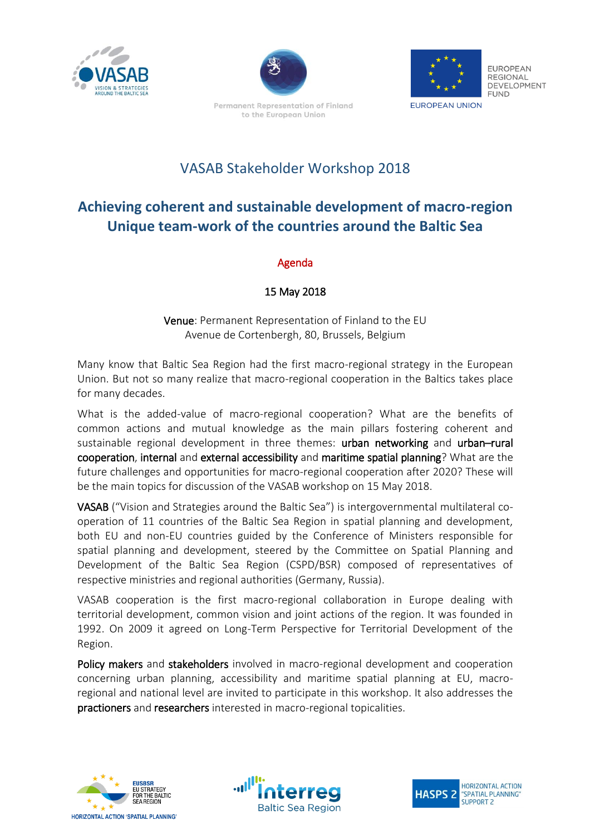



Permanent Representation of Finland to the European Union



**FUROPEAN REGIONAL** DEVELOPMENT **FUND** 

#### **EUROPEAN UNION**

## VASAB Stakeholder Workshop 2018

# **Achieving coherent and sustainable development of macro-region Unique team-work of the countries around the Baltic Sea**

### Agenda

### 15 May 2018

Venue: Permanent Representation of Finland to the EU Avenue de Cortenbergh, 80, Brussels, Belgium

Many know that Baltic Sea Region had the first macro-regional strategy in the European Union. But not so many realize that macro-regional cooperation in the Baltics takes place for many decades.

What is the added-value of macro-regional cooperation? What are the benefits of common actions and mutual knowledge as the main pillars fostering coherent and sustainable regional development in three themes: urban networking and urban-rural cooperation, internal and external accessibility and maritime spatial planning? What are the future challenges and opportunities for macro-regional cooperation after 2020? These will be the main topics for discussion of the VASAB workshop on 15 May 2018.

VASAB ("Vision and Strategies around the Baltic Sea") is intergovernmental multilateral cooperation of 11 countries of the Baltic Sea Region in spatial planning and development, both EU and non-EU countries guided by the Conference of Ministers responsible for spatial planning and development, steered by the Committee on Spatial Planning and Development of the Baltic Sea Region (CSPD/BSR) composed of representatives of respective ministries and regional authorities (Germany, Russia).

VASAB cooperation is the first macro-regional collaboration in Europe dealing with territorial development, common vision and joint actions of the region. It was founded in 1992. On 2009 it agreed on Long-Term Perspective for Territorial Development of the Region.

Policy makers and stakeholders involved in macro-regional development and cooperation concerning urban planning, accessibility and maritime spatial planning at EU, macroregional and national level are invited to participate in this workshop. It also addresses the practioners and researchers interested in macro-regional topicalities.